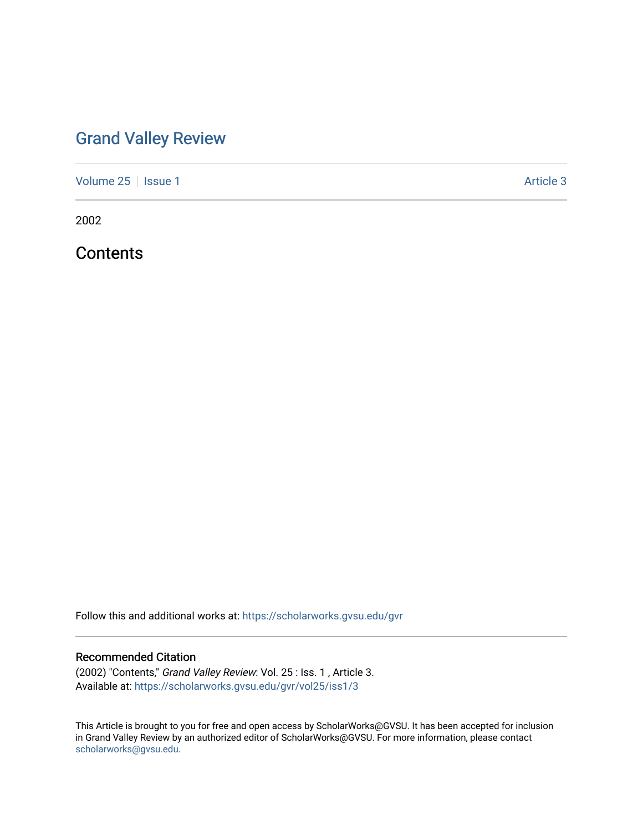## [Grand Valley Review](https://scholarworks.gvsu.edu/gvr)

[Volume 25](https://scholarworks.gvsu.edu/gvr/vol25) | [Issue 1](https://scholarworks.gvsu.edu/gvr/vol25/iss1) Article 3

2002

**Contents** 

Follow this and additional works at: [https://scholarworks.gvsu.edu/gvr](https://scholarworks.gvsu.edu/gvr?utm_source=scholarworks.gvsu.edu%2Fgvr%2Fvol25%2Fiss1%2F3&utm_medium=PDF&utm_campaign=PDFCoverPages) 

## Recommended Citation

(2002) "Contents," Grand Valley Review: Vol. 25 : Iss. 1 , Article 3. Available at: [https://scholarworks.gvsu.edu/gvr/vol25/iss1/3](https://scholarworks.gvsu.edu/gvr/vol25/iss1/3?utm_source=scholarworks.gvsu.edu%2Fgvr%2Fvol25%2Fiss1%2F3&utm_medium=PDF&utm_campaign=PDFCoverPages) 

This Article is brought to you for free and open access by ScholarWorks@GVSU. It has been accepted for inclusion in Grand Valley Review by an authorized editor of ScholarWorks@GVSU. For more information, please contact [scholarworks@gvsu.edu](mailto:scholarworks@gvsu.edu).